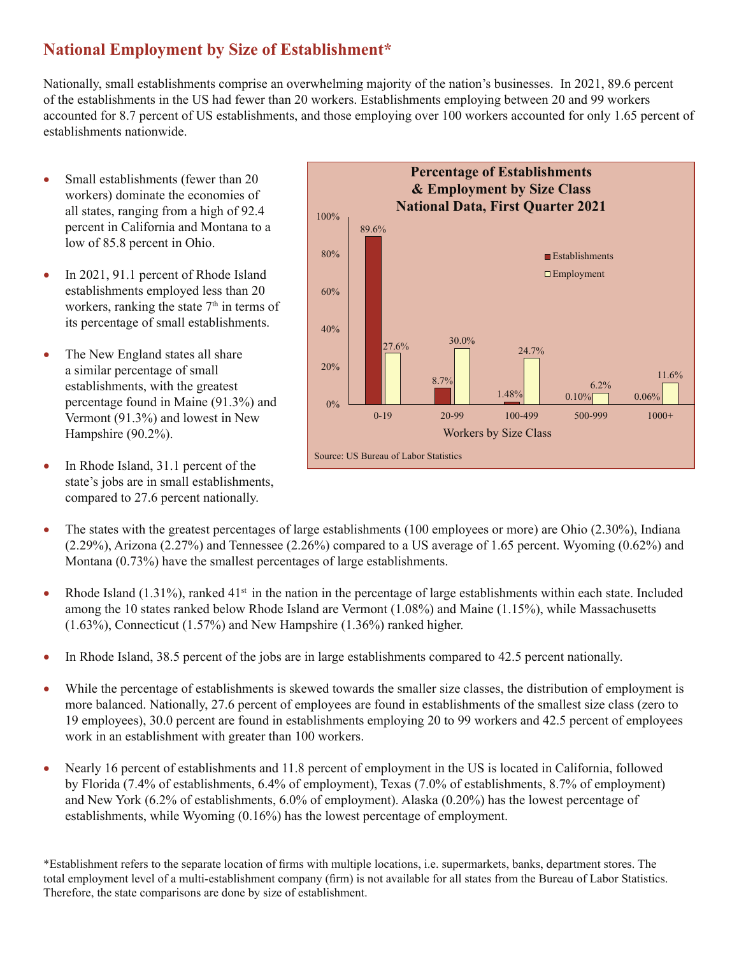## **National Employment by Size of Establishment\***

Nationally, small establishments comprise an overwhelming majority of the nation's businesses. In 2021, 89.6 percent of the establishments in the US had fewer than 20 workers. Establishments employing between 20 and 99 workers accounted for 8.7 percent of US establishments, and those employing over 100 workers accounted for only 1.65 percent of establishments nationwide.

- Small establishments (fewer than 20 workers) dominate the economies of all states, ranging from a high of 92.4 percent in California and Montana to a low of 85.8 percent in Ohio.
- In 2021, 91.1 percent of Rhode Island establishments employed less than 20 workers, ranking the state  $7<sup>th</sup>$  in terms of its percentage of small establishments.
- The New England states all share a similar percentage of small establishments, with the greatest percentage found in Maine (91.3%) and Vermont (91.3%) and lowest in New Hampshire (90.2%).
- In Rhode Island, 31.1 percent of the state's jobs are in small establishments, compared to 27.6 percent nationally.



- The states with the greatest percentages of large establishments (100 employees or more) are Ohio  $(2.30\%)$ , Indiana (2.29%), Arizona (2.27%) and Tennessee (2.26%) compared to a US average of 1.65 percent. Wyoming (0.62%) and Montana (0.73%) have the smallest percentages of large establishments.
- Rhode Island (1.31%), ranked  $41<sup>st</sup>$  in the nation in the percentage of large establishments within each state. Included among the 10 states ranked below Rhode Island are Vermont (1.08%) and Maine (1.15%), while Massachusetts (1.63%), Connecticut (1.57%) and New Hampshire (1.36%) ranked higher.
- In Rhode Island, 38.5 percent of the jobs are in large establishments compared to 42.5 percent nationally.
- While the percentage of establishments is skewed towards the smaller size classes, the distribution of employment is more balanced. Nationally, 27.6 percent of employees are found in establishments of the smallest size class (zero to 19 employees), 30.0 percent are found in establishments employing 20 to 99 workers and 42.5 percent of employees work in an establishment with greater than 100 workers.
- Nearly 16 percent of establishments and 11.8 percent of employment in the US is located in California, followed by Florida (7.4% of establishments, 6.4% of employment), Texas (7.0% of establishments, 8.7% of employment) and New York (6.2% of establishments, 6.0% of employment). Alaska (0.20%) has the lowest percentage of establishments, while Wyoming (0.16%) has the lowest percentage of employment.

\*Establishment refers to the separate location of firms with multiple locations, i.e. supermarkets, banks, department stores. The total employment level of a multi-establishment company (firm) is not available for all states from the Bureau of Labor Statistics. Therefore, the state comparisons are done by size of establishment.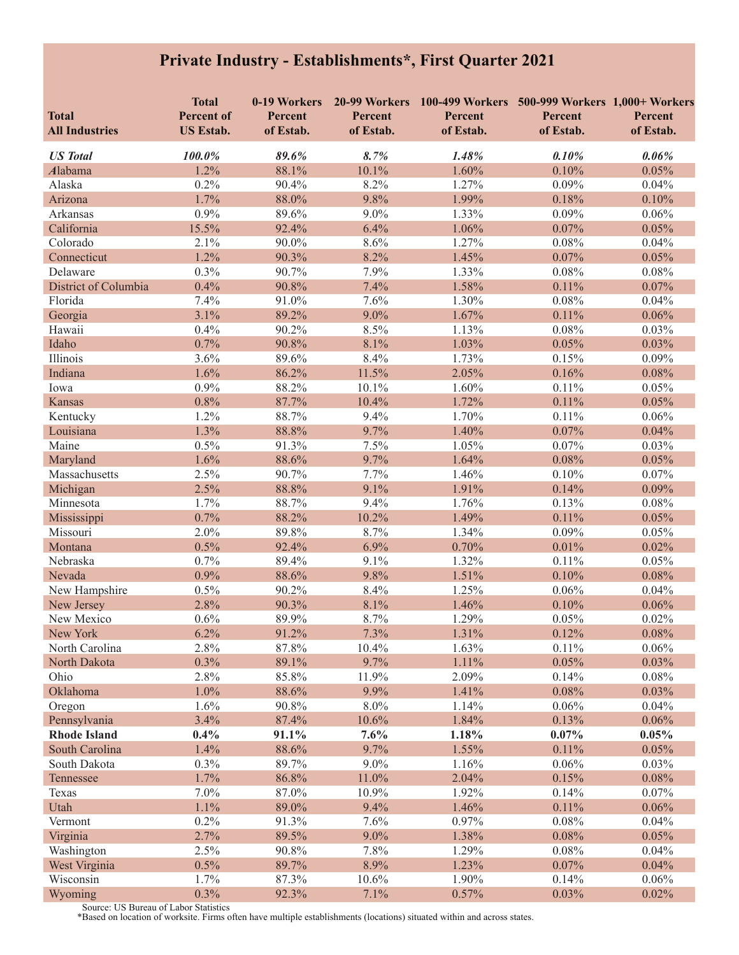## **Private Industry - Establishments\*, First Quarter 2021**

| <b>Total</b>                        | <b>Total</b><br><b>Percent of</b> | 0-19 Workers<br>Percent | Percent       | 20-99 Workers 100-499 Workers 500-999 Workers 1,000+ Workers<br>Percent | Percent           | Percent        |
|-------------------------------------|-----------------------------------|-------------------------|---------------|-------------------------------------------------------------------------|-------------------|----------------|
| <b>All Industries</b>               | <b>US Estab.</b>                  | of Estab.               | of Estab.     | of Estab.                                                               | of Estab.         | of Estab.      |
| <b>US</b> Total                     | 100.0%                            | 89.6%                   | 8.7%          | 1.48%                                                                   | 0.10%             | 0.06%          |
| Alabama                             | 1.2%                              | 88.1%                   | 10.1%         | 1.60%                                                                   | 0.10%             | 0.05%          |
| Alaska                              | 0.2%                              | 90.4%                   | 8.2%          | 1.27%                                                                   | 0.09%             | 0.04%          |
| Arizona                             | 1.7%                              | 88.0%                   | 9.8%          | 1.99%                                                                   | 0.18%             | 0.10%          |
| Arkansas                            | 0.9%                              | 89.6%                   | 9.0%          | 1.33%                                                                   | 0.09%             | 0.06%          |
| California                          | 15.5%                             | 92.4%                   | 6.4%          | 1.06%                                                                   | 0.07%             | 0.05%          |
| Colorado                            | 2.1%                              | 90.0%                   | 8.6%          | 1.27%                                                                   | $0.08\%$          | 0.04%          |
| Connecticut                         | 1.2%                              | 90.3%                   | 8.2%          | 1.45%                                                                   | 0.07%             | 0.05%          |
| Delaware                            | 0.3%                              | 90.7%                   | 7.9%          | 1.33%                                                                   | $0.08\%$          | 0.08%          |
| District of Columbia                | 0.4%                              | 90.8%                   | 7.4%          | 1.58%                                                                   | 0.11%             | 0.07%          |
| Florida                             | 7.4%                              | 91.0%                   | 7.6%          | 1.30%                                                                   | 0.08%             | 0.04%          |
| Georgia                             | 3.1%                              | 89.2%                   | 9.0%          | 1.67%                                                                   | 0.11%             | 0.06%          |
| Hawaii                              | 0.4%                              | 90.2%                   | 8.5%          | 1.13%                                                                   | $0.08\%$          | 0.03%          |
| Idaho                               | 0.7%                              | 90.8%                   | 8.1%          | 1.03%                                                                   | 0.05%             | 0.03%          |
| Illinois                            | 3.6%                              | 89.6%                   | 8.4%          | 1.73%                                                                   | 0.15%             | 0.09%          |
| Indiana                             | 1.6%                              | 86.2%                   | 11.5%         | 2.05%                                                                   | 0.16%             | 0.08%          |
| Iowa                                | 0.9%                              | 88.2%                   | 10.1%         | 1.60%                                                                   | 0.11%             | 0.05%          |
| <b>Kansas</b>                       | 0.8%                              | 87.7%                   | 10.4%         | 1.72%                                                                   | 0.11%             | 0.05%          |
| Kentucky                            | 1.2%                              | 88.7%                   | 9.4%          | 1.70%                                                                   | 0.11%             | 0.06%          |
| Louisiana                           | 1.3%                              | 88.8%                   | 9.7%          | 1.40%                                                                   | 0.07%             | 0.04%          |
| Maine                               | 0.5%                              | 91.3%                   | 7.5%          | 1.05%                                                                   | 0.07%             | 0.03%          |
| Maryland                            | 1.6%                              | 88.6%                   | 9.7%          | 1.64%                                                                   | 0.08%             | 0.05%          |
| Massachusetts                       | 2.5%                              | 90.7%                   | 7.7%          | 1.46%                                                                   | 0.10%             | 0.07%          |
| Michigan                            | 2.5%                              | 88.8%                   | 9.1%          | 1.91%                                                                   | 0.14%             | 0.09%          |
| Minnesota                           | 1.7%                              | 88.7%                   | 9.4%          | 1.76%                                                                   | 0.13%             | $0.08\%$       |
| Mississippi                         | 0.7%                              | 88.2%                   | 10.2%         | 1.49%                                                                   | 0.11%             | 0.05%          |
| Missouri                            | 2.0%                              | 89.8%                   | 8.7%          | 1.34%                                                                   | 0.09%             | 0.05%          |
| Montana                             | 0.5%                              | 92.4%                   | 6.9%          | 0.70%                                                                   | 0.01%             | 0.02%          |
| Nebraska                            | 0.7%                              | 89.4%                   | 9.1%          | 1.32%                                                                   | 0.11%             | 0.05%          |
| Nevada                              | 0.9%                              | 88.6%                   | 9.8%          | 1.51%                                                                   | 0.10%             | 0.08%          |
| New Hampshire                       | 0.5%                              | 90.2%                   | 8.4%          | 1.25%                                                                   | 0.06%             | 0.04%          |
| New Jersey                          | 2.8%                              | 90.3%                   | 8.1%          | 1.46%                                                                   | 0.10%             | 0.06%          |
| New Mexico                          | 0.6%                              | 89.9%                   | 8.7%          | 1.29%                                                                   | 0.05%             | 0.02%          |
| New York                            | 6.2%                              | 91.2%                   | 7.3%          | 1.31%                                                                   | 0.12%             | $0.08\%$       |
| North Carolina                      | 2.8%                              | 87.8%                   | 10.4%         | 1.63%                                                                   | 0.11%             | 0.06%          |
| North Dakota                        | 0.3%                              | 89.1%                   | 9.7%          | 1.11%                                                                   | 0.05%             | 0.03%          |
| Ohio                                | 2.8%                              | 85.8%                   | 11.9%         | 2.09%                                                                   | 0.14%             | 0.08%          |
| Oklahoma                            | 1.0%                              | 88.6%                   | 9.9%          | 1.41%                                                                   | 0.08%             | 0.03%          |
| Oregon                              | 1.6%                              | 90.8%                   | 8.0%          | 1.14%                                                                   | 0.06%             | 0.04%          |
| Pennsylvania<br><b>Rhode Island</b> | 3.4%<br>$0.4\%$                   | 87.4%<br>91.1%          | 10.6%<br>7.6% | 1.84%<br>1.18%                                                          | 0.13%<br>$0.07\%$ | 0.06%<br>0.05% |
| South Carolina                      | 1.4%                              | 88.6%                   | 9.7%          | 1.55%                                                                   | 0.11%             | 0.05%          |
| South Dakota                        | 0.3%                              | 89.7%                   | 9.0%          | 1.16%                                                                   | 0.06%             | 0.03%          |
| Tennessee                           | 1.7%                              | 86.8%                   | 11.0%         | 2.04%                                                                   | 0.15%             | 0.08%          |
| Texas                               | 7.0%                              | 87.0%                   | 10.9%         | 1.92%                                                                   | 0.14%             | 0.07%          |
| Utah                                | 1.1%                              | 89.0%                   | 9.4%          | 1.46%                                                                   | 0.11%             | 0.06%          |
| Vermont                             | 0.2%                              | 91.3%                   | 7.6%          | 0.97%                                                                   | 0.08%             | 0.04%          |
| Virginia                            | 2.7%                              | 89.5%                   | 9.0%          | 1.38%                                                                   | 0.08%             | 0.05%          |
| Washington                          | 2.5%                              | 90.8%                   | 7.8%          | 1.29%                                                                   | 0.08%             | 0.04%          |
| West Virginia                       | 0.5%                              | 89.7%                   | 8.9%          | 1.23%                                                                   | 0.07%             | 0.04%          |
| Wisconsin                           | 1.7%                              | 87.3%                   | 10.6%         | 1.90%                                                                   | 0.14%             | 0.06%          |
| Wyoming                             | 0.3%                              | 92.3%                   | 7.1%          | 0.57%                                                                   | 0.03%             | 0.02%          |

Source: US Bureau of Labor Statistics \*Based on location of worksite. Firms often have multiple establishments (locations) situated within and across states.